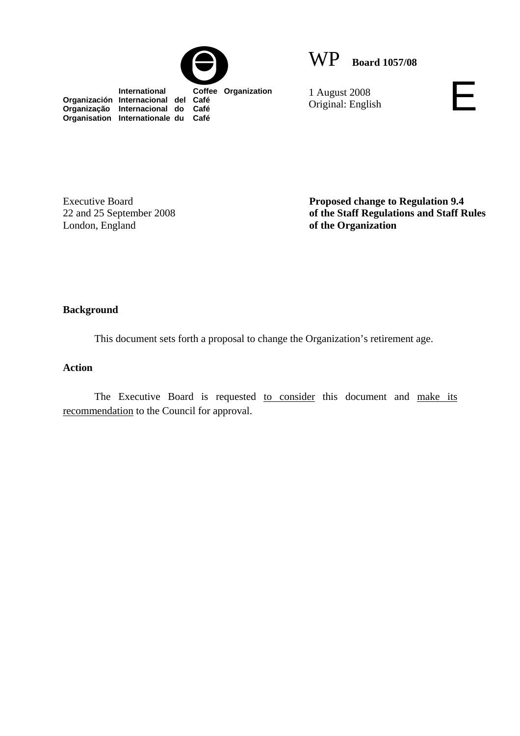



 **International Coffee Organization Organización Internacional del Café Organização Internacional do Café Organisation Internationale du Café**

1 August 2008 1 August 2008<br>Original: English

Executive Board 22 and 25 September 2008 London, England

**Proposed change to Regulation 9.4 of the Staff Regulations and Staff Rules of the Organization** 

### **Background**

This document sets forth a proposal to change the Organization's retirement age.

## **Action**

The Executive Board is requested to consider this document and make its recommendation to the Council for approval.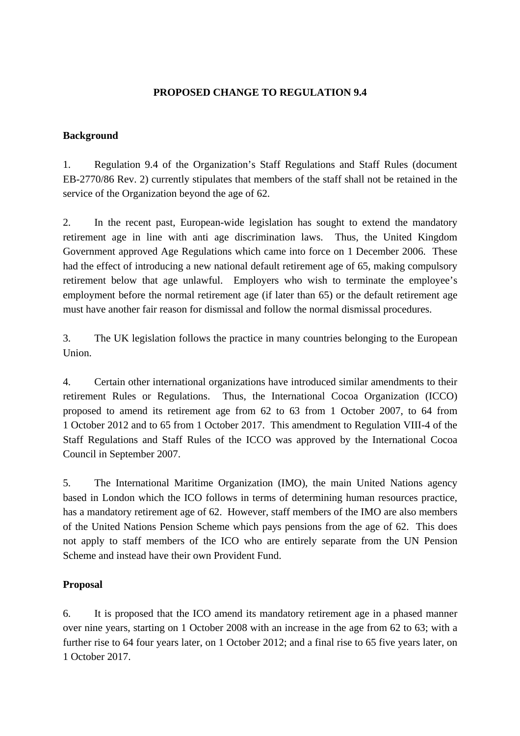# **PROPOSED CHANGE TO REGULATION 9.4**

## **Background**

1. Regulation 9.4 of the Organization's Staff Regulations and Staff Rules (document EB-2770/86 Rev. 2) currently stipulates that members of the staff shall not be retained in the service of the Organization beyond the age of 62.

2. In the recent past, European-wide legislation has sought to extend the mandatory retirement age in line with anti age discrimination laws. Thus, the United Kingdom Government approved Age Regulations which came into force on 1 December 2006. These had the effect of introducing a new national default retirement age of 65, making compulsory retirement below that age unlawful. Employers who wish to terminate the employee's employment before the normal retirement age (if later than 65) or the default retirement age must have another fair reason for dismissal and follow the normal dismissal procedures.

3. The UK legislation follows the practice in many countries belonging to the European Union.

4. Certain other international organizations have introduced similar amendments to their retirement Rules or Regulations. Thus, the International Cocoa Organization (ICCO) proposed to amend its retirement age from 62 to 63 from 1 October 2007, to 64 from 1 October 2012 and to 65 from 1 October 2017. This amendment to Regulation VIII-4 of the Staff Regulations and Staff Rules of the ICCO was approved by the International Cocoa Council in September 2007.

5. The International Maritime Organization (IMO), the main United Nations agency based in London which the ICO follows in terms of determining human resources practice, has a mandatory retirement age of 62. However, staff members of the IMO are also members of the United Nations Pension Scheme which pays pensions from the age of 62. This does not apply to staff members of the ICO who are entirely separate from the UN Pension Scheme and instead have their own Provident Fund.

## **Proposal**

6. It is proposed that the ICO amend its mandatory retirement age in a phased manner over nine years, starting on 1 October 2008 with an increase in the age from 62 to 63; with a further rise to 64 four years later, on 1 October 2012; and a final rise to 65 five years later, on 1 October 2017.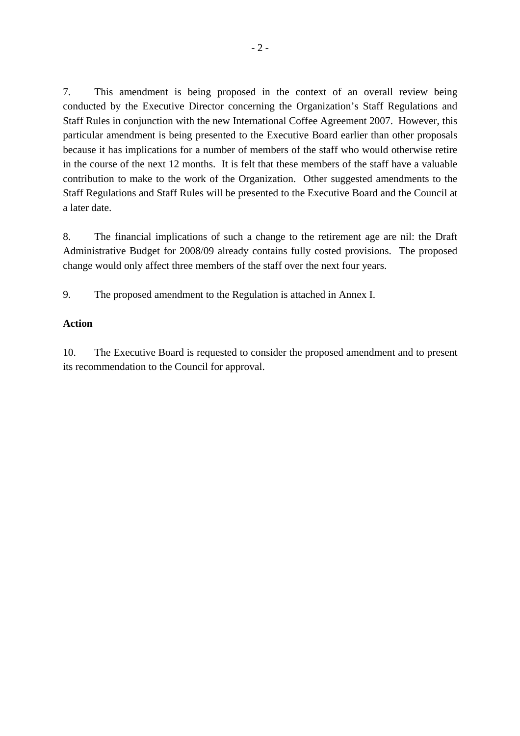7. This amendment is being proposed in the context of an overall review being conducted by the Executive Director concerning the Organization's Staff Regulations and Staff Rules in conjunction with the new International Coffee Agreement 2007. However, this particular amendment is being presented to the Executive Board earlier than other proposals because it has implications for a number of members of the staff who would otherwise retire in the course of the next 12 months. It is felt that these members of the staff have a valuable contribution to make to the work of the Organization. Other suggested amendments to the Staff Regulations and Staff Rules will be presented to the Executive Board and the Council at a later date.

8. The financial implications of such a change to the retirement age are nil: the Draft Administrative Budget for 2008/09 already contains fully costed provisions. The proposed change would only affect three members of the staff over the next four years.

9. The proposed amendment to the Regulation is attached in Annex I.

#### **Action**

10. The Executive Board is requested to consider the proposed amendment and to present its recommendation to the Council for approval.